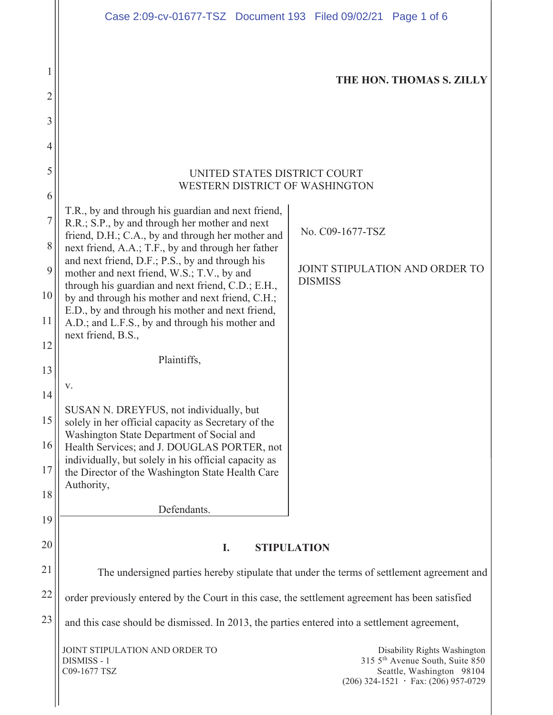|                     | Case 2:09-cv-01677-TSZ Document 193 Filed 09/02/21 Page 1 of 6                                                                                            |                  |                                                                                                                                          |  |
|---------------------|-----------------------------------------------------------------------------------------------------------------------------------------------------------|------------------|------------------------------------------------------------------------------------------------------------------------------------------|--|
| 1<br>$\overline{2}$ |                                                                                                                                                           |                  | THE HON. THOMAS S. ZILLY                                                                                                                 |  |
| 3                   |                                                                                                                                                           |                  |                                                                                                                                          |  |
| 4                   |                                                                                                                                                           |                  |                                                                                                                                          |  |
| 5                   | UNITED STATES DISTRICT COURT<br>WESTERN DISTRICT OF WASHINGTON                                                                                            |                  |                                                                                                                                          |  |
| 6                   | T.R., by and through his guardian and next friend,                                                                                                        |                  |                                                                                                                                          |  |
| $\overline{7}$<br>8 | R.R.; S.P., by and through her mother and next<br>friend, D.H.; C.A., by and through her mother and<br>next friend, A.A.; T.F., by and through her father | No. C09-1677-TSZ |                                                                                                                                          |  |
| 9                   | and next friend, D.F.; P.S., by and through his<br>mother and next friend, W.S.; T.V., by and                                                             |                  | JOINT STIPULATION AND ORDER TO                                                                                                           |  |
| 10                  | through his guardian and next friend, C.D.; E.H.,<br>by and through his mother and next friend, C.H.;                                                     | <b>DISMISS</b>   |                                                                                                                                          |  |
| 11                  | E.D., by and through his mother and next friend,<br>A.D.; and L.F.S., by and through his mother and                                                       |                  |                                                                                                                                          |  |
| 12                  | next friend, B.S.,                                                                                                                                        |                  |                                                                                                                                          |  |
| 13                  | Plaintiffs,                                                                                                                                               |                  |                                                                                                                                          |  |
| 14                  | v.                                                                                                                                                        |                  |                                                                                                                                          |  |
| 15                  | SUSAN N. DREYFUS, not individually, but<br>solely in her official capacity as Secretary of the                                                            |                  |                                                                                                                                          |  |
| 16                  | Washington State Department of Social and<br>Health Services; and J. DOUGLAS PORTER, not                                                                  |                  |                                                                                                                                          |  |
| 17                  | individually, but solely in his official capacity as<br>the Director of the Washington State Health Care                                                  |                  |                                                                                                                                          |  |
| 18                  | Authority,                                                                                                                                                |                  |                                                                                                                                          |  |
| 19                  | Defendants.                                                                                                                                               |                  |                                                                                                                                          |  |
| 20                  | <b>STIPULATION</b><br>I.                                                                                                                                  |                  |                                                                                                                                          |  |
| 21                  | The undersigned parties hereby stipulate that under the terms of settlement agreement and                                                                 |                  |                                                                                                                                          |  |
| 22                  | order previously entered by the Court in this case, the settlement agreement has been satisfied                                                           |                  |                                                                                                                                          |  |
| 23                  | and this case should be dismissed. In 2013, the parties entered into a settlement agreement,                                                              |                  |                                                                                                                                          |  |
|                     | JOINT STIPULATION AND ORDER TO<br>DISMISS - 1<br>C09-1677 TSZ                                                                                             |                  | Disability Rights Washington<br>315 5th Avenue South, Suite 850<br>Seattle, Washington 98104<br>$(206)$ 324-1521 · Fax: $(206)$ 957-0729 |  |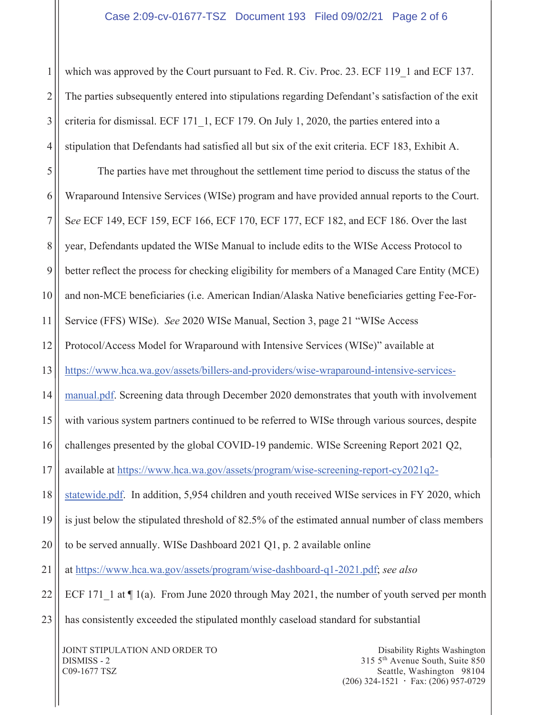## Case 2:09-cv-01677-TSZ Document 193 Filed 09/02/21 Page 2 of 6

1 2 3 4 which was approved by the Court pursuant to Fed. R. Civ. Proc. 23. ECF 119 1 and ECF 137. The parties subsequently entered into stipulations regarding Defendant's satisfaction of the exit criteria for dismissal. ECF 171\_1, ECF 179. On July 1, 2020, the parties entered into a stipulation that Defendants had satisfied all but six of the exit criteria. ECF 183, Exhibit A.

5 6 7 8 9 10 11 12 13 14 15 16 17 18 19 20 21 22 23 The parties have met throughout the settlement time period to discuss the status of the Wraparound Intensive Services (WISe) program and have provided annual reports to the Court. S*ee* ECF 149, ECF 159, ECF 166, ECF 170, ECF 177, ECF 182, and ECF 186. Over the last year, Defendants updated the WISe Manual to include edits to the WISe Access Protocol to better reflect the process for checking eligibility for members of a Managed Care Entity (MCE) and non-MCE beneficiaries (i.e. American Indian/Alaska Native beneficiaries getting Fee-For-Service (FFS) WISe). *See* 2020 WISe Manual, Section 3, page 21 "WISe Access Protocol/Access Model for Wraparound with Intensive Services (WISe)" available at https://www.hca.wa.gov/assets/billers-and-providers/wise-wraparound-intensive-servicesmanual.pdf. Screening data through December 2020 demonstrates that youth with involvement with various system partners continued to be referred to WISe through various sources, despite challenges presented by the global COVID-19 pandemic. WISe Screening Report 2021 Q2, available at https://www.hca.wa.gov/assets/program/wise-screening-report-cy2021q2 statewide.pdf. In addition, 5,954 children and youth received WISe services in FY 2020, which is just below the stipulated threshold of 82.5% of the estimated annual number of class members to be served annually. WISe Dashboard 2021 Q1, p. 2 available online at https://www.hca.wa.gov/assets/program/wise-dashboard-q1-2021.pdf; *see also* ECF 171 1 at  $\P$  1(a). From June 2020 through May 2021, the number of youth served per month has consistently exceeded the stipulated monthly caseload standard for substantial

JOINT STIPULATION AND ORDER TO DISMISS - 2 C09-1677 TSZ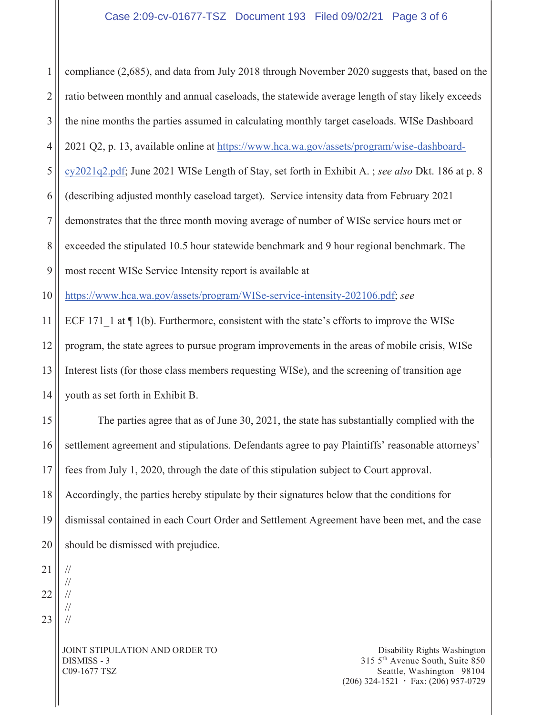1 2 3 4 5 6 7 8 9 10 11 12 13 14 15 16 17 18 19 20 compliance (2,685), and data from July 2018 through November 2020 suggests that, based on the ratio between monthly and annual caseloads, the statewide average length of stay likely exceeds the nine months the parties assumed in calculating monthly target caseloads. WISe Dashboard 2021 Q2, p. 13, available online at https://www.hca.wa.gov/assets/program/wise-dashboardcy2021q2.pdf; June 2021 WISe Length of Stay, set forth in Exhibit A. ; *see also* Dkt. 186 at p. 8 (describing adjusted monthly caseload target). Service intensity data from February 2021 demonstrates that the three month moving average of number of WISe service hours met or exceeded the stipulated 10.5 hour statewide benchmark and 9 hour regional benchmark. The most recent WISe Service Intensity report is available at https://www.hca.wa.gov/assets/program/WISe-service-intensity-202106.pdf; *see*  ECF 171 1 at  $\P$  1(b). Furthermore, consistent with the state's efforts to improve the WISe program, the state agrees to pursue program improvements in the areas of mobile crisis, WISe Interest lists (for those class members requesting WISe), and the screening of transition age youth as set forth in Exhibit B. The parties agree that as of June 30, 2021, the state has substantially complied with the settlement agreement and stipulations. Defendants agree to pay Plaintiffs' reasonable attorneys' fees from July 1, 2020, through the date of this stipulation subject to Court approval. Accordingly, the parties hereby stipulate by their signatures below that the conditions for dismissal contained in each Court Order and Settlement Agreement have been met, and the case should be dismissed with prejudice. //

21 22 23

// // // //

JOINT STIPULATION AND ORDER TO DISMISS - 3 C09-1677 TSZ

Disability Rights Washington 315 5th Avenue South, Suite 850 Seattle, Washington 98104  $(206)$  324-1521  $\cdot$  Fax: (206) 957-0729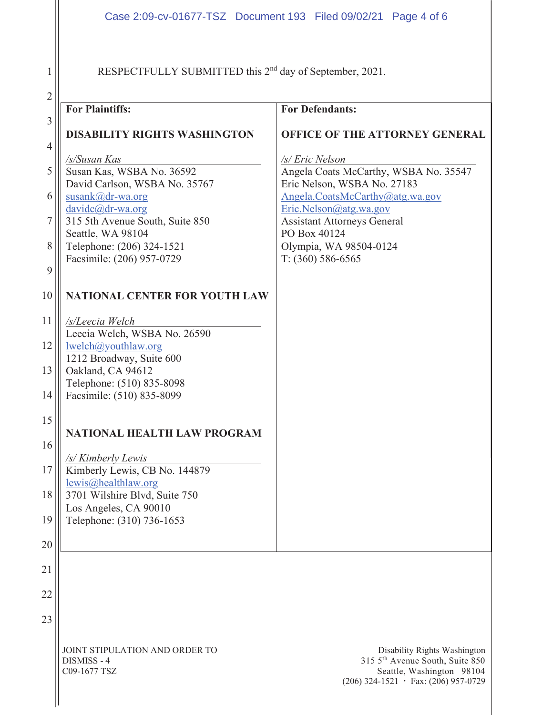RESPECTFULLY SUBMITTED this 2<sup>nd</sup> day of September, 2021.

1

C09-1677 TSZ

| $\overline{2}$ |                                                                                                                                                       |                                                                                                                                                                                            |
|----------------|-------------------------------------------------------------------------------------------------------------------------------------------------------|--------------------------------------------------------------------------------------------------------------------------------------------------------------------------------------------|
|                | <b>For Plaintiffs:</b>                                                                                                                                | <b>For Defendants:</b>                                                                                                                                                                     |
| 3<br>4         | <b>DISABILITY RIGHTS WASHINGTON</b>                                                                                                                   | OFFICE OF THE ATTORNEY GENERAL                                                                                                                                                             |
| 5<br>6<br>7    | /s/Susan Kas<br>Susan Kas, WSBA No. 36592<br>David Carlson, WSBA No. 35767<br>susank@dr-wa.org<br>davidc@dr-wa.org<br>315 5th Avenue South, Suite 850 | /s/ Eric Nelson<br>Angela Coats McCarthy, WSBA No. 35547<br>Eric Nelson, WSBA No. 27183<br>Angela.CoatsMcCarthy@atg.wa.gov<br>Eric.Nelson@atg.wa.gov<br><b>Assistant Attorneys General</b> |
| 8<br>9         | Seattle, WA 98104<br>Telephone: (206) 324-1521<br>Facsimile: (206) 957-0729                                                                           | PO Box 40124<br>Olympia, WA 98504-0124<br>$T: (360) 586-6565$                                                                                                                              |
| 10             | NATIONAL CENTER FOR YOUTH LAW                                                                                                                         |                                                                                                                                                                                            |
| 11             | /s/Leecia Welch<br>Leecia Welch, WSBA No. 26590                                                                                                       |                                                                                                                                                                                            |
| 12             | lwelch@youthlaw.org<br>1212 Broadway, Suite 600                                                                                                       |                                                                                                                                                                                            |
| 13<br>14       | Oakland, CA 94612<br>Telephone: (510) 835-8098<br>Facsimile: (510) 835-8099                                                                           |                                                                                                                                                                                            |
| 15             | NATIONAL HEALTH LAW PROGRAM                                                                                                                           |                                                                                                                                                                                            |
| 16             | /s/ Kimberly Lewis                                                                                                                                    |                                                                                                                                                                                            |
| 17             | Kimberly Lewis, CB No. 144879<br>lewis@healthlaw.org                                                                                                  |                                                                                                                                                                                            |
|                | 18    3701 Wilshire Blvd, Suite 750<br>Los Angeles, CA 90010                                                                                          |                                                                                                                                                                                            |
| 19             | Telephone: (310) 736-1653                                                                                                                             |                                                                                                                                                                                            |
| 20             |                                                                                                                                                       |                                                                                                                                                                                            |
| 21             |                                                                                                                                                       |                                                                                                                                                                                            |
| 22             |                                                                                                                                                       |                                                                                                                                                                                            |
| 23             |                                                                                                                                                       |                                                                                                                                                                                            |
|                | JOINT STIPULATION AND ORDER TO<br>DISMISS - 4                                                                                                         | Disability Rights Washington<br>315 5 <sup>th</sup> Avenue South, Suite 850                                                                                                                |

Seattle, Washington 98104  $(206)$  324-1521  $\cdot$  Fax: (206) 957-0729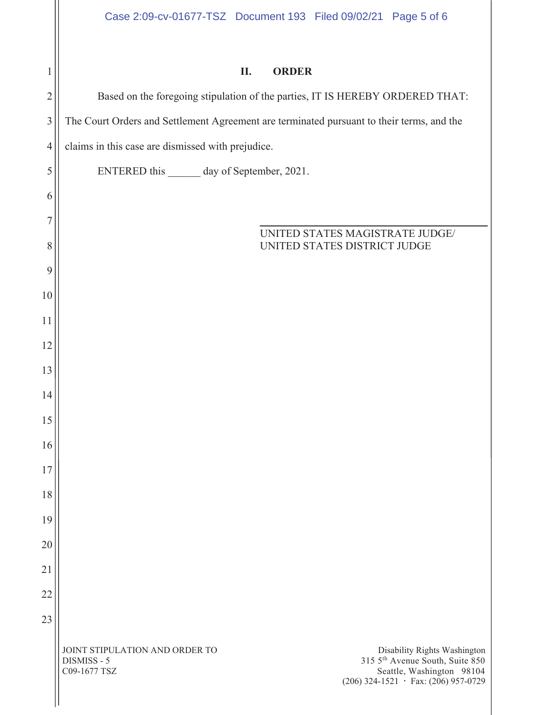|  | <b>ORDER</b> |
|--|--------------|
|--|--------------|

JOINT STIPULATION AND ORDER TO DISMISS - 5 C09-1677 TSZ Disability Rights Washington 315 5th Avenue South, Suite 850 Seattle, Washington 98104  $(206)$  324-1521  $\cdot$  Fax: (206) 957-0729 1 2 3 4 5 6 7 8 9 10 11 12 13 14 15 16 17 18 19 20 21 22 23 Based on the foregoing stipulation of the parties, IT IS HEREBY ORDERED THAT: The Court Orders and Settlement Agreement are terminated pursuant to their terms, and the claims in this case are dismissed with prejudice. ENTERED this day of September, 2021. \_\_\_\_\_ UNITED STATES MAGISTRATE JUDGE/ UNITED STATES DISTRICT JUDGE